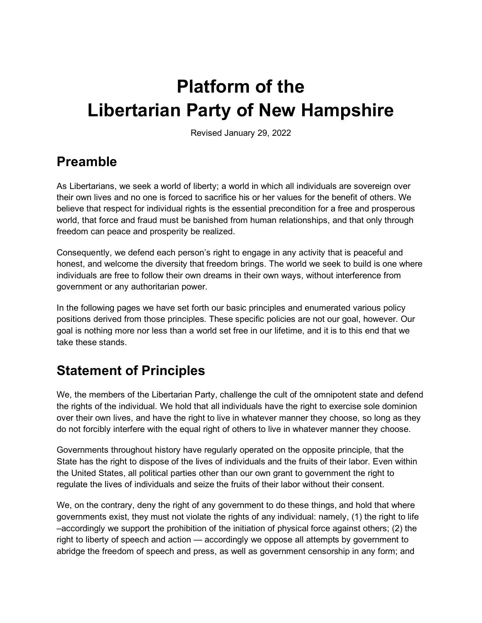## **Platform of the Libertarian Party of New Hampshire**

Revised January 29, 2022

#### **Preamble**

As Libertarians, we seek a world of liberty; a world in which all individuals are sovereign over their own lives and no one is forced to sacrifice his or her values for the benefit of others. We believe that respect for individual rights is the essential precondition for a free and prosperous world, that force and fraud must be banished from human relationships, and that only through freedom can peace and prosperity be realized.

Consequently, we defend each person's right to engage in any activity that is peaceful and honest, and welcome the diversity that freedom brings. The world we seek to build is one where individuals are free to follow their own dreams in their own ways, without interference from government or any authoritarian power.

In the following pages we have set forth our basic principles and enumerated various policy positions derived from those principles. These specific policies are not our goal, however. Our goal is nothing more nor less than a world set free in our lifetime, and it is to this end that we take these stands.

#### **Statement of Principles**

We, the members of the Libertarian Party, challenge the cult of the omnipotent state and defend the rights of the individual. We hold that all individuals have the right to exercise sole dominion over their own lives, and have the right to live in whatever manner they choose, so long as they do not forcibly interfere with the equal right of others to live in whatever manner they choose.

Governments throughout history have regularly operated on the opposite principle, that the State has the right to dispose of the lives of individuals and the fruits of their labor. Even within the United States, all political parties other than our own grant to government the right to regulate the lives of individuals and seize the fruits of their labor without their consent.

We, on the contrary, deny the right of any government to do these things, and hold that where governments exist, they must not violate the rights of any individual: namely, (1) the right to life –accordingly we support the prohibition of the initiation of physical force against others; (2) the right to liberty of speech and action — accordingly we oppose all attempts by government to abridge the freedom of speech and press, as well as government censorship in any form; and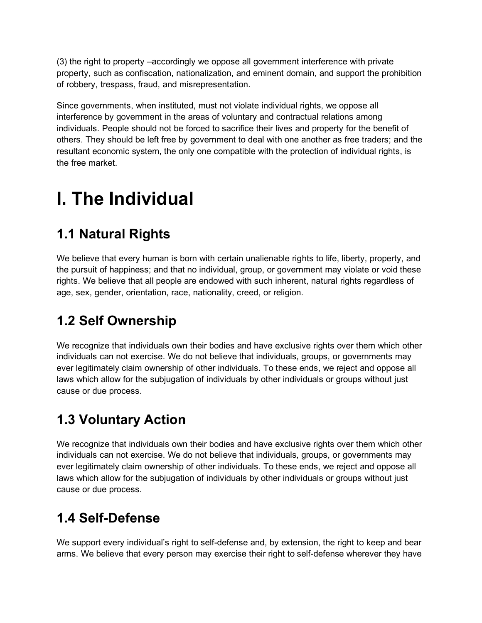(3) the right to property –accordingly we oppose all government interference with private property, such as confiscation, nationalization, and eminent domain, and support the prohibition of robbery, trespass, fraud, and misrepresentation.

Since governments, when instituted, must not violate individual rights, we oppose all interference by government in the areas of voluntary and contractual relations among individuals. People should not be forced to sacrifice their lives and property for the benefit of others. They should be left free by government to deal with one another as free traders; and the resultant economic system, the only one compatible with the protection of individual rights, is the free market.

## **I. The Individual**

## **1.1 Natural Rights**

We believe that every human is born with certain unalienable rights to life, liberty, property, and the pursuit of happiness; and that no individual, group, or government may violate or void these rights. We believe that all people are endowed with such inherent, natural rights regardless of age, sex, gender, orientation, race, nationality, creed, or religion.

## **1.2 Self Ownership**

We recognize that individuals own their bodies and have exclusive rights over them which other individuals can not exercise. We do not believe that individuals, groups, or governments may ever legitimately claim ownership of other individuals. To these ends, we reject and oppose all laws which allow for the subjugation of individuals by other individuals or groups without just cause or due process.

## **1.3 Voluntary Action**

We recognize that individuals own their bodies and have exclusive rights over them which other individuals can not exercise. We do not believe that individuals, groups, or governments may ever legitimately claim ownership of other individuals. To these ends, we reject and oppose all laws which allow for the subjugation of individuals by other individuals or groups without just cause or due process.

## **1.4 Self-Defense**

We support every individual's right to self-defense and, by extension, the right to keep and bear arms. We believe that every person may exercise their right to self-defense wherever they have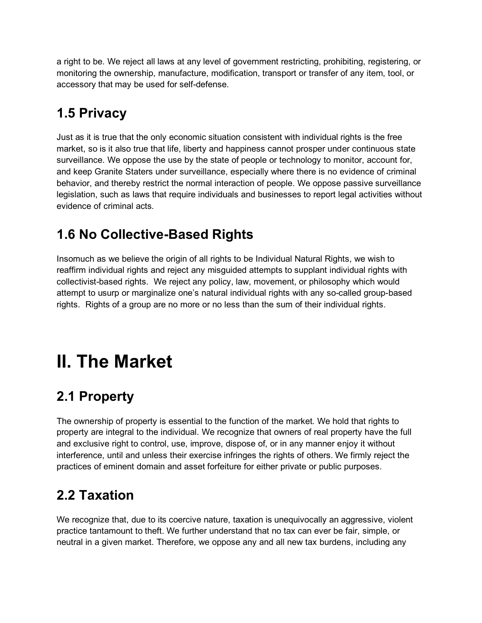a right to be. We reject all laws at any level of government restricting, prohibiting, registering, or monitoring the ownership, manufacture, modification, transport or transfer of any item, tool, or accessory that may be used for self-defense.

## **1.5 Privacy**

Just as it is true that the only economic situation consistent with individual rights is the free market, so is it also true that life, liberty and happiness cannot prosper under continuous state surveillance. We oppose the use by the state of people or technology to monitor, account for, and keep Granite Staters under surveillance, especially where there is no evidence of criminal behavior, and thereby restrict the normal interaction of people. We oppose passive surveillance legislation, such as laws that require individuals and businesses to report legal activities without evidence of criminal acts.

## **1.6 No Collective-Based Rights**

Insomuch as we believe the origin of all rights to be Individual Natural Rights, we wish to reaffirm individual rights and reject any misguided attempts to supplant individual rights with collectivist-based rights. We reject any policy, law, movement, or philosophy which would attempt to usurp or marginalize one's natural individual rights with any so-called group-based rights. Rights of a group are no more or no less than the sum of their individual rights.

# **II. The Market**

## **2.1 Property**

The ownership of property is essential to the function of the market. We hold that rights to property are integral to the individual. We recognize that owners of real property have the full and exclusive right to control, use, improve, dispose of, or in any manner enjoy it without interference, until and unless their exercise infringes the rights of others. We firmly reject the practices of eminent domain and asset forfeiture for either private or public purposes.

## **2.2 Taxation**

We recognize that, due to its coercive nature, taxation is unequivocally an aggressive, violent practice tantamount to theft. We further understand that no tax can ever be fair, simple, or neutral in a given market. Therefore, we oppose any and all new tax burdens, including any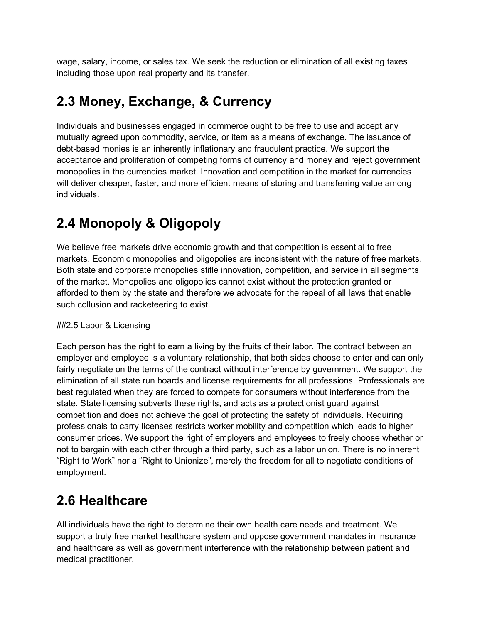wage, salary, income, or sales tax. We seek the reduction or elimination of all existing taxes including those upon real property and its transfer.

## **2.3 Money, Exchange, & Currency**

Individuals and businesses engaged in commerce ought to be free to use and accept any mutually agreed upon commodity, service, or item as a means of exchange. The issuance of debt-based monies is an inherently inflationary and fraudulent practice. We support the acceptance and proliferation of competing forms of currency and money and reject government monopolies in the currencies market. Innovation and competition in the market for currencies will deliver cheaper, faster, and more efficient means of storing and transferring value among individuals.

## **2.4 Monopoly & Oligopoly**

We believe free markets drive economic growth and that competition is essential to free markets. Economic monopolies and oligopolies are inconsistent with the nature of free markets. Both state and corporate monopolies stifle innovation, competition, and service in all segments of the market. Monopolies and oligopolies cannot exist without the protection granted or afforded to them by the state and therefore we advocate for the repeal of all laws that enable such collusion and racketeering to exist.

#### ##2.5 Labor & Licensing

Each person has the right to earn a living by the fruits of their labor. The contract between an employer and employee is a voluntary relationship, that both sides choose to enter and can only fairly negotiate on the terms of the contract without interference by government. We support the elimination of all state run boards and license requirements for all professions. Professionals are best regulated when they are forced to compete for consumers without interference from the state. State licensing subverts these rights, and acts as a protectionist guard against competition and does not achieve the goal of protecting the safety of individuals. Requiring professionals to carry licenses restricts worker mobility and competition which leads to higher consumer prices. We support the right of employers and employees to freely choose whether or not to bargain with each other through a third party, such as a labor union. There is no inherent "Right to Work" nor a "Right to Unionize", merely the freedom for all to negotiate conditions of employment.

#### **2.6 Healthcare**

All individuals have the right to determine their own health care needs and treatment. We support a truly free market healthcare system and oppose government mandates in insurance and healthcare as well as government interference with the relationship between patient and medical practitioner.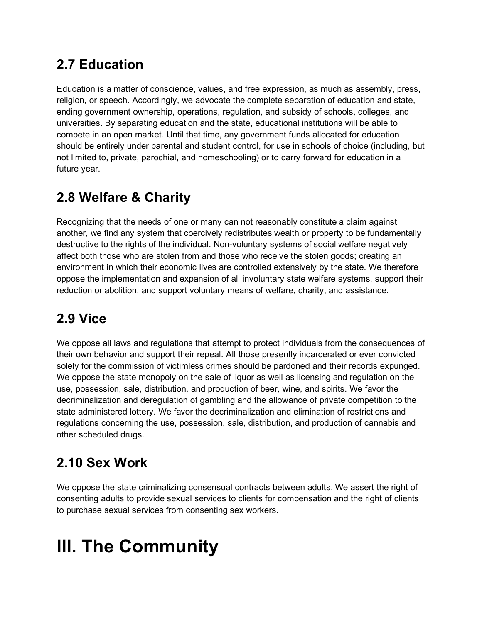## **2.7 Education**

Education is a matter of conscience, values, and free expression, as much as assembly, press, religion, or speech. Accordingly, we advocate the complete separation of education and state, ending government ownership, operations, regulation, and subsidy of schools, colleges, and universities. By separating education and the state, educational institutions will be able to compete in an open market. Until that time, any government funds allocated for education should be entirely under parental and student control, for use in schools of choice (including, but not limited to, private, parochial, and homeschooling) or to carry forward for education in a future year.

## **2.8 Welfare & Charity**

Recognizing that the needs of one or many can not reasonably constitute a claim against another, we find any system that coercively redistributes wealth or property to be fundamentally destructive to the rights of the individual. Non-voluntary systems of social welfare negatively affect both those who are stolen from and those who receive the stolen goods; creating an environment in which their economic lives are controlled extensively by the state. We therefore oppose the implementation and expansion of all involuntary state welfare systems, support their reduction or abolition, and support voluntary means of welfare, charity, and assistance.

## **2.9 Vice**

We oppose all laws and regulations that attempt to protect individuals from the consequences of their own behavior and support their repeal. All those presently incarcerated or ever convicted solely for the commission of victimless crimes should be pardoned and their records expunged. We oppose the state monopoly on the sale of liquor as well as licensing and regulation on the use, possession, sale, distribution, and production of beer, wine, and spirits. We favor the decriminalization and deregulation of gambling and the allowance of private competition to the state administered lottery. We favor the decriminalization and elimination of restrictions and regulations concerning the use, possession, sale, distribution, and production of cannabis and other scheduled drugs.

## **2.10 Sex Work**

We oppose the state criminalizing consensual contracts between adults. We assert the right of consenting adults to provide sexual services to clients for compensation and the right of clients to purchase sexual services from consenting sex workers.

# **III. The Community**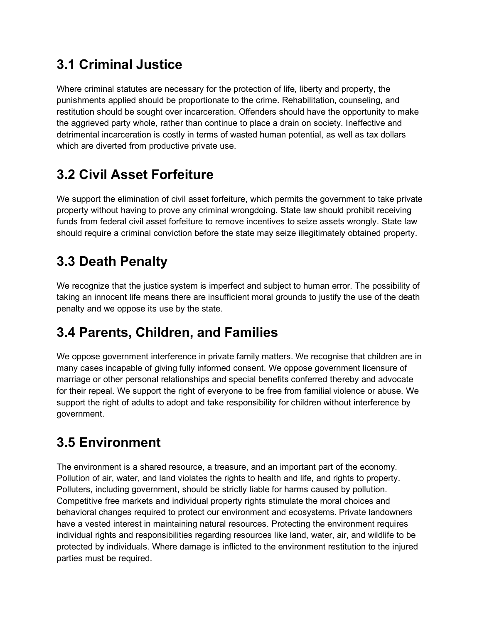### **3.1 Criminal Justice**

Where criminal statutes are necessary for the protection of life, liberty and property, the punishments applied should be proportionate to the crime. Rehabilitation, counseling, and restitution should be sought over incarceration. Offenders should have the opportunity to make the aggrieved party whole, rather than continue to place a drain on society. Ineffective and detrimental incarceration is costly in terms of wasted human potential, as well as tax dollars which are diverted from productive private use.

## **3.2 Civil Asset Forfeiture**

We support the elimination of civil asset forfeiture, which permits the government to take private property without having to prove any criminal wrongdoing. State law should prohibit receiving funds from federal civil asset forfeiture to remove incentives to seize assets wrongly. State law should require a criminal conviction before the state may seize illegitimately obtained property.

## **3.3 Death Penalty**

We recognize that the justice system is imperfect and subject to human error. The possibility of taking an innocent life means there are insufficient moral grounds to justify the use of the death penalty and we oppose its use by the state.

#### **3.4 Parents, Children, and Families**

We oppose government interference in private family matters. We recognise that children are in many cases incapable of giving fully informed consent. We oppose government licensure of marriage or other personal relationships and special benefits conferred thereby and advocate for their repeal. We support the right of everyone to be free from familial violence or abuse. We support the right of adults to adopt and take responsibility for children without interference by government.

## **3.5 Environment**

The environment is a shared resource, a treasure, and an important part of the economy. Pollution of air, water, and land violates the rights to health and life, and rights to property. Polluters, including government, should be strictly liable for harms caused by pollution. Competitive free markets and individual property rights stimulate the moral choices and behavioral changes required to protect our environment and ecosystems. Private landowners have a vested interest in maintaining natural resources. Protecting the environment requires individual rights and responsibilities regarding resources like land, water, air, and wildlife to be protected by individuals. Where damage is inflicted to the environment restitution to the injured parties must be required.